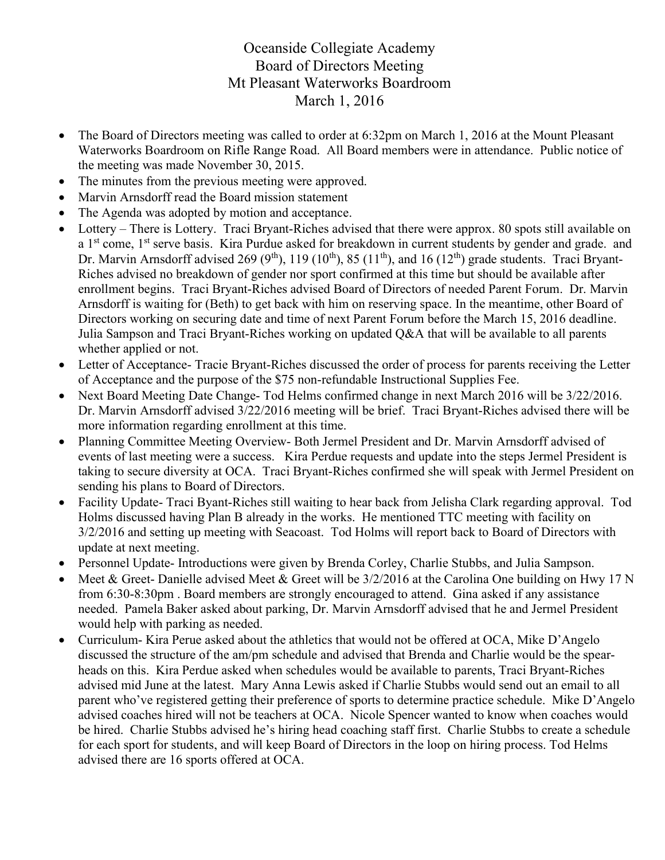## Oceanside Collegiate Academy Board of Directors Meeting Mt Pleasant Waterworks Boardroom March 1, 2016

- The Board of Directors meeting was called to order at 6:32pm on March 1, 2016 at the Mount Pleasant Waterworks Boardroom on Rifle Range Road. All Board members were in attendance. Public notice of the meeting was made November 30, 2015.
- The minutes from the previous meeting were approved.
- Marvin Arnsdorff read the Board mission statement
- The Agenda was adopted by motion and acceptance.
- Lottery There is Lottery. Traci Bryant-Riches advised that there were approx. 80 spots still available on a 1<sup>st</sup> come, 1<sup>st</sup> serve basis. Kira Purdue asked for breakdown in current students by gender and grade. and Dr. Marvin Arnsdorff advised 269 (9<sup>th</sup>), 119 (10<sup>th</sup>), 85 (11<sup>th</sup>), and 16 (12<sup>th</sup>) grade students. Traci Bryant-Riches advised no breakdown of gender nor sport confirmed at this time but should be available after enrollment begins. Traci Bryant-Riches advised Board of Directors of needed Parent Forum. Dr. Marvin Arnsdorff is waiting for (Beth) to get back with him on reserving space. In the meantime, other Board of Directors working on securing date and time of next Parent Forum before the March 15, 2016 deadline. Julia Sampson and Traci Bryant-Riches working on updated Q&A that will be available to all parents whether applied or not.
- Letter of Acceptance- Tracie Bryant-Riches discussed the order of process for parents receiving the Letter of Acceptance and the purpose of the \$75 non-refundable Instructional Supplies Fee.
- Next Board Meeting Date Change- Tod Helms confirmed change in next March 2016 will be 3/22/2016. Dr. Marvin Arnsdorff advised 3/22/2016 meeting will be brief. Traci Bryant-Riches advised there will be more information regarding enrollment at this time.
- Planning Committee Meeting Overview- Both Jermel President and Dr. Marvin Arnsdorff advised of events of last meeting were a success. Kira Perdue requests and update into the steps Jermel President is taking to secure diversity at OCA. Traci Bryant-Riches confirmed she will speak with Jermel President on sending his plans to Board of Directors.
- Facility Update- Traci Byant-Riches still waiting to hear back from Jelisha Clark regarding approval. Tod Holms discussed having Plan B already in the works. He mentioned TTC meeting with facility on 3/2/2016 and setting up meeting with Seacoast. Tod Holms will report back to Board of Directors with update at next meeting.
- Personnel Update- Introductions were given by Brenda Corley, Charlie Stubbs, and Julia Sampson.
- Meet & Greet- Danielle advised Meet & Greet will be 3/2/2016 at the Carolina One building on Hwy 17 N from 6:30-8:30pm . Board members are strongly encouraged to attend. Gina asked if any assistance needed. Pamela Baker asked about parking, Dr. Marvin Arnsdorff advised that he and Jermel President would help with parking as needed.
- Curriculum- Kira Perue asked about the athletics that would not be offered at OCA, Mike D'Angelo discussed the structure of the am/pm schedule and advised that Brenda and Charlie would be the spearheads on this. Kira Perdue asked when schedules would be available to parents, Traci Bryant-Riches advised mid June at the latest. Mary Anna Lewis asked if Charlie Stubbs would send out an email to all parent who've registered getting their preference of sports to determine practice schedule. Mike D'Angelo advised coaches hired will not be teachers at OCA. Nicole Spencer wanted to know when coaches would be hired. Charlie Stubbs advised he's hiring head coaching staff first. Charlie Stubbs to create a schedule for each sport for students, and will keep Board of Directors in the loop on hiring process. Tod Helms advised there are 16 sports offered at OCA.